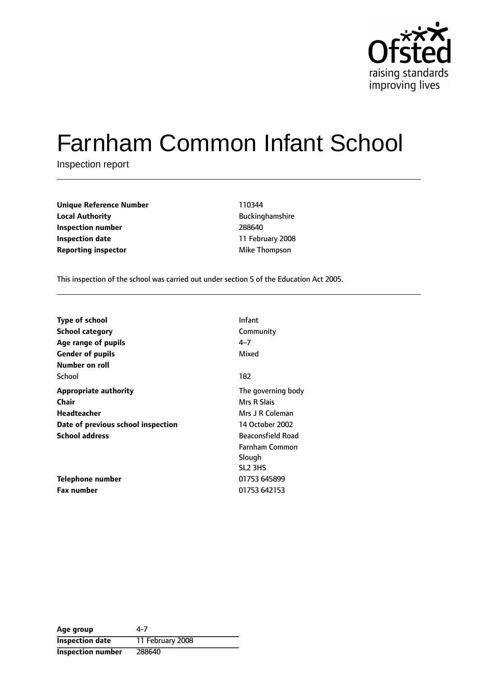

# Farnham Common Infant School

Inspection report

| <b>Unique Reference Number</b> | 110344                 |
|--------------------------------|------------------------|
| <b>Local Authority</b>         | <b>Buckinghamshire</b> |
| Inspection number              | 288640                 |
| <b>Inspection date</b>         | 11 February 200        |
| <b>Reporting inspector</b>     | Mike Thompson          |

**Unique Reference Number** 110344 **Local Authority** Buckinghamshire **Inspection number** 288640 **Inspection date** 11 February 2008

This inspection of the school was carried out under section 5 of the Education Act 2005.

| <b>Type of school</b>              | Infant                   |
|------------------------------------|--------------------------|
| <b>School category</b>             | Community                |
| Age range of pupils                | $4 - 7$                  |
| <b>Gender of pupils</b>            | Mixed                    |
| Number on roll                     |                          |
| School                             | 182                      |
| <b>Appropriate authority</b>       | The governing body       |
| Chair                              | Mrs R Slais              |
| Headteacher                        | Mrs J R Coleman          |
| Date of previous school inspection | 14 October 2002          |
| <b>School address</b>              | <b>Beaconsfield Road</b> |
|                                    | Farnham Common           |
|                                    | Slough                   |
|                                    | SL <sub>2</sub> 3HS      |
| Telephone number                   | 01753 645899             |
| <b>Fax number</b>                  | 01753 642153             |

| Age group                | 4-7              |
|--------------------------|------------------|
| <b>Inspection date</b>   | 11 February 2008 |
| <b>Inspection number</b> | 288640           |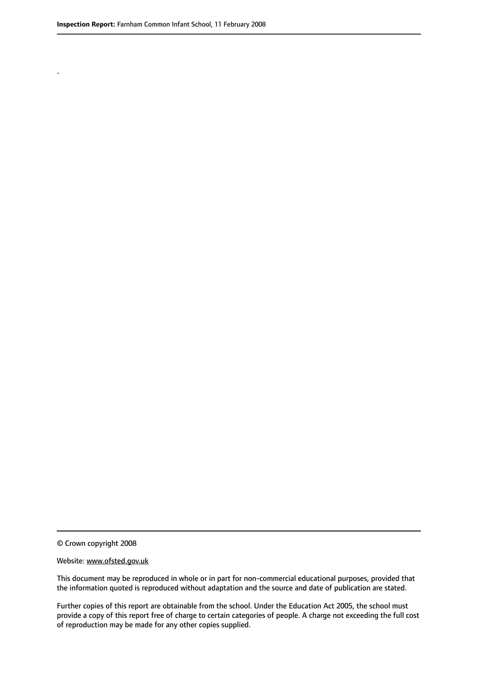.

© Crown copyright 2008

#### Website: www.ofsted.gov.uk

This document may be reproduced in whole or in part for non-commercial educational purposes, provided that the information quoted is reproduced without adaptation and the source and date of publication are stated.

Further copies of this report are obtainable from the school. Under the Education Act 2005, the school must provide a copy of this report free of charge to certain categories of people. A charge not exceeding the full cost of reproduction may be made for any other copies supplied.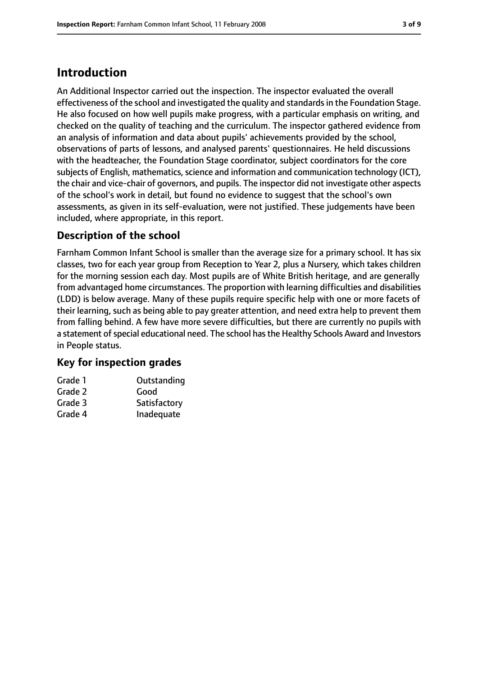## **Introduction**

An Additional Inspector carried out the inspection. The inspector evaluated the overall effectiveness of the school and investigated the quality and standardsin the Foundation Stage. He also focused on how well pupils make progress, with a particular emphasis on writing, and checked on the quality of teaching and the curriculum. The inspector gathered evidence from an analysis of information and data about pupils' achievements provided by the school, observations of parts of lessons, and analysed parents' questionnaires. He held discussions with the headteacher, the Foundation Stage coordinator, subject coordinators for the core subjects of English, mathematics, science and information and communication technology (ICT), the chair and vice-chair of governors, and pupils. The inspector did not investigate other aspects of the school's work in detail, but found no evidence to suggest that the school's own assessments, as given in its self-evaluation, were not justified. These judgements have been included, where appropriate, in this report.

#### **Description of the school**

Farnham Common Infant School is smaller than the average size for a primary school. It has six classes, two for each year group from Reception to Year 2, plus a Nursery, which takes children for the morning session each day. Most pupils are of White British heritage, and are generally from advantaged home circumstances. The proportion with learning difficulties and disabilities (LDD) is below average. Many of these pupils require specific help with one or more facets of their learning, such as being able to pay greater attention, and need extra help to prevent them from falling behind. A few have more severe difficulties, but there are currently no pupils with a statement of special educational need. The school has the Healthy Schools Award and Investors in People status.

#### **Key for inspection grades**

| Grade 1 | Outstanding  |
|---------|--------------|
| Grade 2 | Good         |
| Grade 3 | Satisfactory |
| Grade 4 | Inadequate   |
|         |              |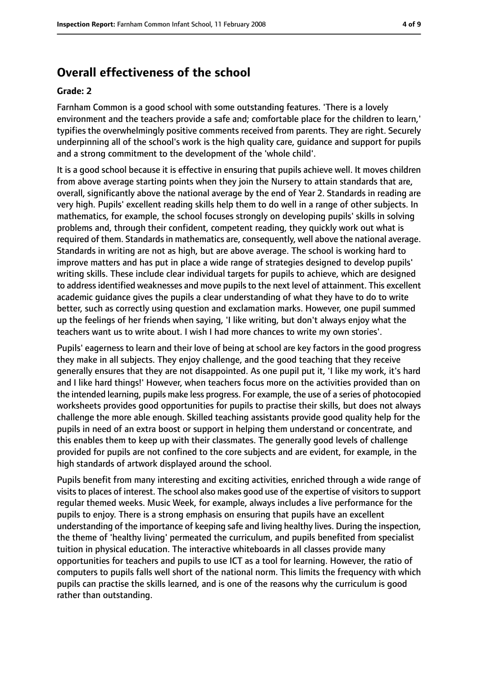## **Overall effectiveness of the school**

#### **Grade: 2**

Farnham Common is a good school with some outstanding features. 'There is a lovely environment and the teachers provide a safe and; comfortable place for the children to learn,' typifies the overwhelmingly positive comments received from parents. They are right. Securely underpinning all of the school's work is the high quality care, guidance and support for pupils and a strong commitment to the development of the 'whole child'.

It is a good school because it is effective in ensuring that pupils achieve well. It moves children from above average starting points when they join the Nursery to attain standards that are, overall, significantly above the national average by the end of Year 2. Standards in reading are very high. Pupils' excellent reading skills help them to do well in a range of other subjects. In mathematics, for example, the school focuses strongly on developing pupils' skills in solving problems and, through their confident, competent reading, they quickly work out what is required of them. Standards in mathematics are, consequently, well above the national average. Standards in writing are not as high, but are above average. The school is working hard to improve matters and has put in place a wide range of strategies designed to develop pupils' writing skills. These include clear individual targets for pupils to achieve, which are designed to address identified weaknesses and move pupils to the next level of attainment. This excellent academic guidance gives the pupils a clear understanding of what they have to do to write better, such as correctly using question and exclamation marks. However, one pupil summed up the feelings of her friends when saying, 'I like writing, but don't always enjoy what the teachers want us to write about. I wish I had more chances to write my own stories'.

Pupils' eagerness to learn and their love of being at school are key factors in the good progress they make in all subjects. They enjoy challenge, and the good teaching that they receive generally ensures that they are not disappointed. As one pupil put it, 'I like my work, it's hard and I like hard things!' However, when teachers focus more on the activities provided than on the intended learning, pupils make less progress. For example, the use of a series of photocopied worksheets provides good opportunities for pupils to practise their skills, but does not always challenge the more able enough. Skilled teaching assistants provide good quality help for the pupils in need of an extra boost or support in helping them understand or concentrate, and this enables them to keep up with their classmates. The generally good levels of challenge provided for pupils are not confined to the core subjects and are evident, for example, in the high standards of artwork displayed around the school.

Pupils benefit from many interesting and exciting activities, enriched through a wide range of visits to places of interest. The school also makes good use of the expertise of visitors to support regular themed weeks. Music Week, for example, always includes a live performance for the pupils to enjoy. There is a strong emphasis on ensuring that pupils have an excellent understanding of the importance of keeping safe and living healthy lives. During the inspection, the theme of 'healthy living' permeated the curriculum, and pupils benefited from specialist tuition in physical education. The interactive whiteboards in all classes provide many opportunities for teachers and pupils to use ICT as a tool for learning. However, the ratio of computers to pupils falls well short of the national norm. This limits the frequency with which pupils can practise the skills learned, and is one of the reasons why the curriculum is good rather than outstanding.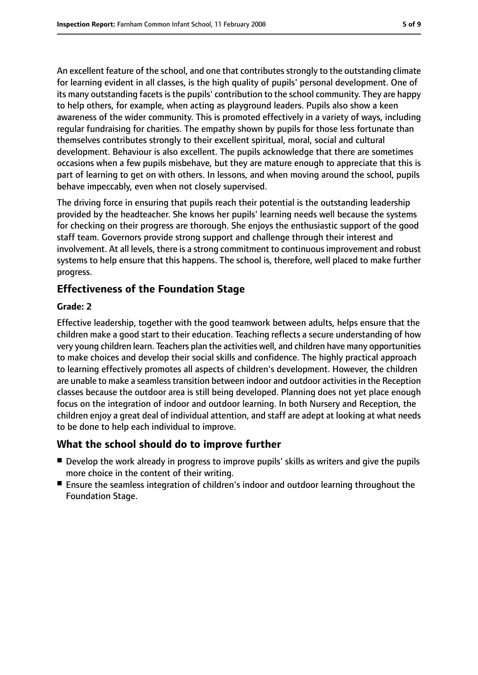An excellent feature of the school, and one that contributes strongly to the outstanding climate for learning evident in all classes, is the high quality of pupils' personal development. One of its many outstanding facets is the pupils' contribution to the school community. They are happy to help others, for example, when acting as playground leaders. Pupils also show a keen awareness of the wider community. This is promoted effectively in a variety of ways, including regular fundraising for charities. The empathy shown by pupils for those less fortunate than themselves contributes strongly to their excellent spiritual, moral, social and cultural development. Behaviour is also excellent. The pupils acknowledge that there are sometimes occasions when a few pupils misbehave, but they are mature enough to appreciate that this is part of learning to get on with others. In lessons, and when moving around the school, pupils behave impeccably, even when not closely supervised.

The driving force in ensuring that pupils reach their potential is the outstanding leadership provided by the headteacher. She knows her pupils' learning needs well because the systems for checking on their progress are thorough. She enjoys the enthusiastic support of the good staff team. Governors provide strong support and challenge through their interest and involvement. At all levels, there is a strong commitment to continuous improvement and robust systems to help ensure that this happens. The school is, therefore, well placed to make further progress.

#### **Effectiveness of the Foundation Stage**

#### **Grade: 2**

Effective leadership, together with the good teamwork between adults, helps ensure that the children make a good start to their education. Teaching reflects a secure understanding of how very young children learn. Teachers plan the activities well, and children have many opportunities to make choices and develop their social skills and confidence. The highly practical approach to learning effectively promotes all aspects of children's development. However, the children are unable to make a seamless transition between indoor and outdoor activities in the Reception classes because the outdoor area is still being developed. Planning does not yet place enough focus on the integration of indoor and outdoor learning. In both Nursery and Reception, the children enjoy a great deal of individual attention, and staff are adept at looking at what needs to be done to help each individual to improve.

#### **What the school should do to improve further**

- Develop the work already in progress to improve pupils' skills as writers and give the pupils more choice in the content of their writing.
- Ensure the seamless integration of children's indoor and outdoor learning throughout the Foundation Stage.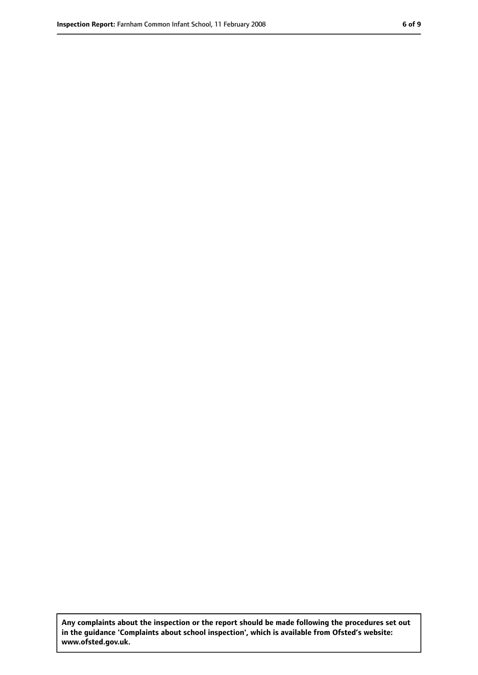**Any complaints about the inspection or the report should be made following the procedures set out in the guidance 'Complaints about school inspection', which is available from Ofsted's website: www.ofsted.gov.uk.**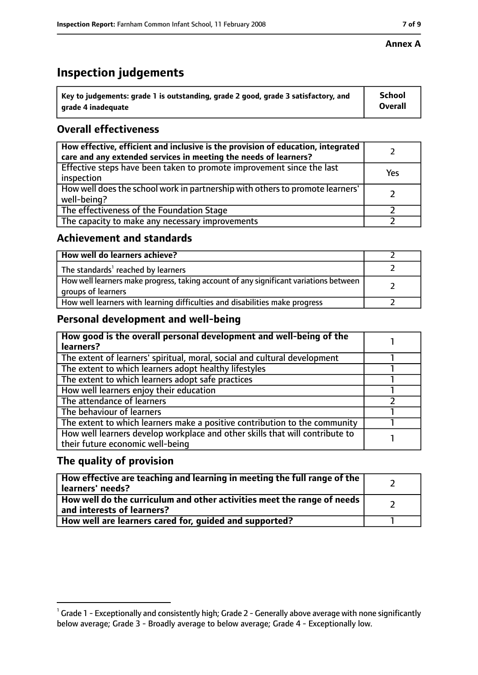## **Inspection judgements**

| $^{\backprime}$ Key to judgements: grade 1 is outstanding, grade 2 good, grade 3 satisfactory, and | <b>School</b>  |
|----------------------------------------------------------------------------------------------------|----------------|
| arade 4 inadequate                                                                                 | <b>Overall</b> |

### **Overall effectiveness**

| How effective, efficient and inclusive is the provision of education, integrated<br>care and any extended services in meeting the needs of learners? |     |
|------------------------------------------------------------------------------------------------------------------------------------------------------|-----|
| Effective steps have been taken to promote improvement since the last<br>inspection                                                                  | Yes |
| How well does the school work in partnership with others to promote learners'<br>well-being?                                                         |     |
| The effectiveness of the Foundation Stage                                                                                                            |     |
| The capacity to make any necessary improvements                                                                                                      |     |

#### **Achievement and standards**

| How well do learners achieve?                                                                               |  |
|-------------------------------------------------------------------------------------------------------------|--|
| The standards <sup>1</sup> reached by learners                                                              |  |
| How well learners make progress, taking account of any significant variations between<br>groups of learners |  |
| How well learners with learning difficulties and disabilities make progress                                 |  |

#### **Personal development and well-being**

| How good is the overall personal development and well-being of the<br>learners?                                  |  |
|------------------------------------------------------------------------------------------------------------------|--|
| The extent of learners' spiritual, moral, social and cultural development                                        |  |
| The extent to which learners adopt healthy lifestyles                                                            |  |
| The extent to which learners adopt safe practices                                                                |  |
| How well learners enjoy their education                                                                          |  |
| The attendance of learners                                                                                       |  |
| The behaviour of learners                                                                                        |  |
| The extent to which learners make a positive contribution to the community                                       |  |
| How well learners develop workplace and other skills that will contribute to<br>their future economic well-being |  |

#### **The quality of provision**

| How effective are teaching and learning in meeting the full range of the<br>learners' needs?          |  |
|-------------------------------------------------------------------------------------------------------|--|
| How well do the curriculum and other activities meet the range of needs<br>and interests of learners? |  |
| How well are learners cared for, quided and supported?                                                |  |

 $^1$  Grade 1 - Exceptionally and consistently high; Grade 2 - Generally above average with none significantly below average; Grade 3 - Broadly average to below average; Grade 4 - Exceptionally low.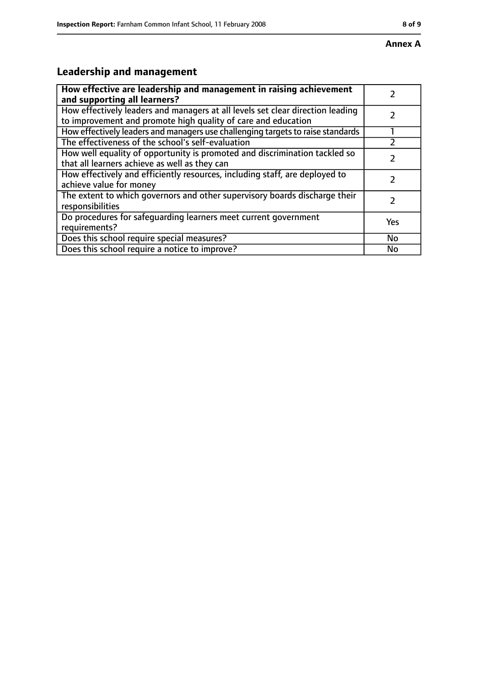# **Leadership and management**

| How effective are leadership and management in raising achievement<br>and supporting all learners?                                              |     |
|-------------------------------------------------------------------------------------------------------------------------------------------------|-----|
| How effectively leaders and managers at all levels set clear direction leading<br>to improvement and promote high quality of care and education |     |
| How effectively leaders and managers use challenging targets to raise standards                                                                 |     |
| The effectiveness of the school's self-evaluation                                                                                               |     |
| How well equality of opportunity is promoted and discrimination tackled so<br>that all learners achieve as well as they can                     |     |
| How effectively and efficiently resources, including staff, are deployed to<br>achieve value for money                                          |     |
| The extent to which governors and other supervisory boards discharge their<br>responsibilities                                                  |     |
| Do procedures for safequarding learners meet current government<br>requirements?                                                                | Yes |
| Does this school require special measures?                                                                                                      | No  |
| Does this school require a notice to improve?                                                                                                   | No  |